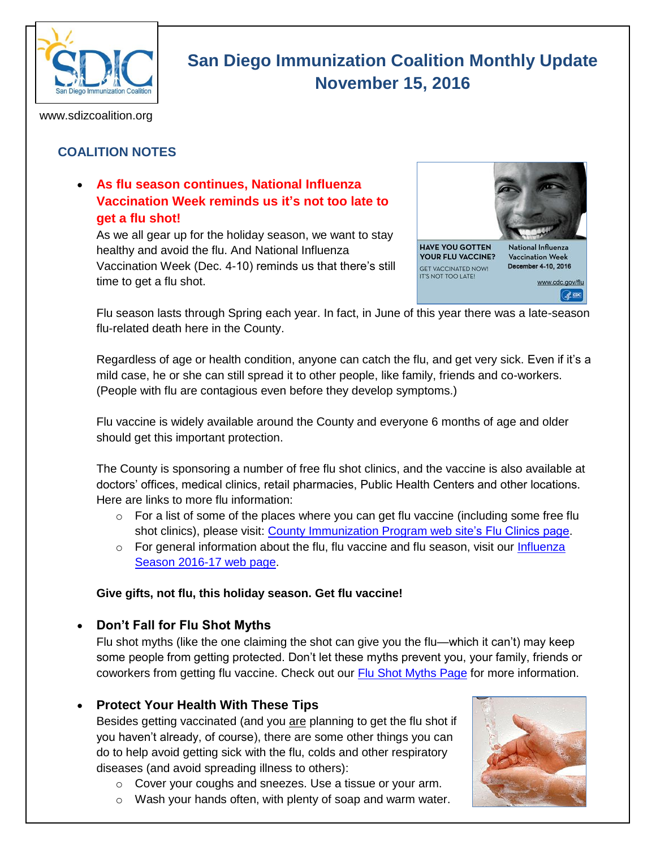

# **San Diego Immunization Coalition Monthly Update November 15, 2016**

www.sdizcoalition.org

# **COALITION NOTES**

## **As flu season continues, National Influenza Vaccination Week reminds us it's not too late to get a flu shot!**

As we all gear up for the holiday season, we want to stay healthy and avoid the flu. And National Influenza Vaccination Week (Dec. 4-10) reminds us that there's still time to get a flu shot.



Flu season lasts through Spring each year. In fact, in June of this year there was a late-season flu-related death here in the County.

Regardless of age or health condition, anyone can catch the flu, and get very sick. Even if it's a mild case, he or she can still spread it to other people, like family, friends and co-workers. (People with flu are contagious even before they develop symptoms.)

Flu vaccine is widely available around the County and everyone 6 months of age and older should get this important protection.

The County is sponsoring a number of free flu shot clinics, and the vaccine is also available at doctors' offices, medical clinics, retail pharmacies, Public Health Centers and other locations. Here are links to more flu information:

- $\circ$  For a list of some of the places where you can get flu vaccine (including some free flu shot clinics), please visit: [County Immunization Program web](http://www.sdiz.org/Community/Features/Flu-2016-2017-clinics.html) site's Flu Clinics page.
- $\circ$  For general information about the flu, flu vaccine and flu season, visit our Influenza [Season 2016-17 web page.](http://www.sdiz.org/Community/Features/Flu-2016-17.html)

#### **Give gifts, not flu, this holiday season. Get flu vaccine!**

#### **Don't Fall for Flu Shot Myths**

Flu shot myths (like the one claiming the shot can give you the flu—which it can't) may keep some people from getting protected. Don't let these myths prevent you, your family, friends or coworkers from getting flu vaccine. Check out our **Flu Shot Myths Page** for more information.

#### **Protect Your Health With These Tips**

Besides getting vaccinated (and you are planning to get the flu shot if you haven't already, of course), there are some other things you can do to help avoid getting sick with the flu, colds and other respiratory diseases (and avoid spreading illness to others):

- o Cover your coughs and sneezes. Use a tissue or your arm.
- o Wash your hands often, with plenty of soap and warm water.

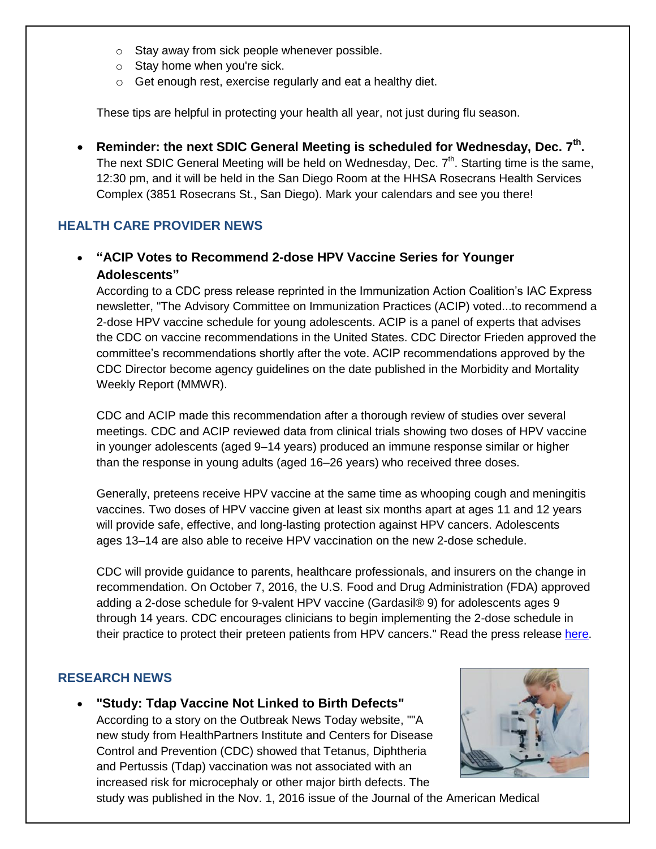- o Stay away from sick people whenever possible.
- o Stay home when you're sick.
- o Get enough rest, exercise regularly and eat a healthy diet.

These tips are helpful in protecting your health all year, not just during flu season.

• Reminder: the next SDIC General Meeting is scheduled for Wednesday, Dec. 7<sup>th</sup>. The next SDIC General Meeting will be held on Wednesday, Dec.  $7<sup>th</sup>$ . Starting time is the same, 12:30 pm, and it will be held in the San Diego Room at the HHSA Rosecrans Health Services Complex (3851 Rosecrans St., San Diego). Mark your calendars and see you there!

## **HEALTH CARE PROVIDER NEWS**

## **"ACIP Votes to Recommend 2-dose HPV Vaccine Series for Younger Adolescents"**

According to a CDC press release reprinted in the Immunization Action Coalition's IAC Express newsletter, "The Advisory Committee on Immunization Practices (ACIP) voted...to recommend a 2-dose HPV vaccine schedule for young adolescents. ACIP is a panel of experts that advises the CDC on vaccine recommendations in the United States. CDC Director Frieden approved the committee's recommendations shortly after the vote. ACIP recommendations approved by the CDC Director become agency guidelines on the date published in the Morbidity and Mortality Weekly Report (MMWR).

CDC and ACIP made this recommendation after a thorough review of studies over several meetings. CDC and ACIP reviewed data from clinical trials showing two doses of HPV vaccine in younger adolescents (aged 9–14 years) produced an immune response similar or higher than the response in young adults (aged 16–26 years) who received three doses.

Generally, preteens receive HPV vaccine at the same time as whooping cough and meningitis vaccines. Two doses of HPV vaccine given at least six months apart at ages 11 and 12 years will provide safe, effective, and long-lasting protection against HPV cancers. Adolescents ages 13–14 are also able to receive HPV vaccination on the new 2-dose schedule.

CDC will provide guidance to parents, healthcare professionals, and insurers on the change in recommendation. On October 7, 2016, the U.S. Food and Drug Administration (FDA) approved adding a 2-dose schedule for 9-valent HPV vaccine (Gardasil® 9) for adolescents ages 9 through 14 years. CDC encourages clinicians to begin implementing the 2-dose schedule in their practice to protect their preteen patients from HPV cancers." Read the press release [here.](http://www.cdc.gov/media/releases/2016/p1020-hpv-shots.html)

#### **RESEARCH NEWS**

 **"Study: Tdap Vaccine Not Linked to Birth Defects"** According to a story on the Outbreak News Today website, ""A new study from HealthPartners Institute and Centers for Disease Control and Prevention (CDC) showed that Tetanus, Diphtheria and Pertussis (Tdap) vaccination was not associated with an increased risk for microcephaly or other major birth defects. The



study was published in the Nov. 1, 2016 issue of the Journal of the American Medical